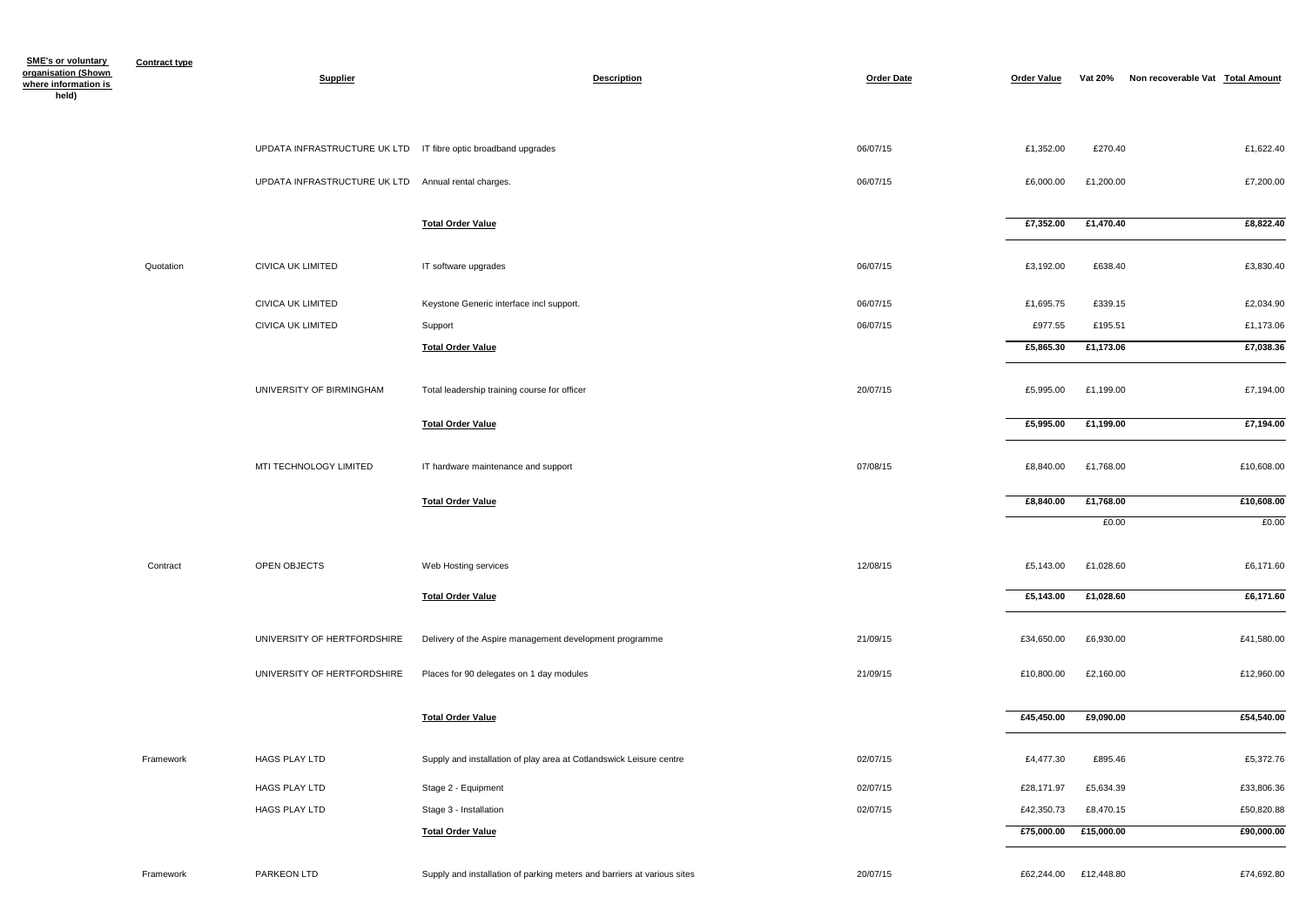| <b>SME's or voluntary</b>                   | <b>Contract type</b> |                                                                 |                                                                         |                   |                    |                |                                  |            |
|---------------------------------------------|----------------------|-----------------------------------------------------------------|-------------------------------------------------------------------------|-------------------|--------------------|----------------|----------------------------------|------------|
| organisation (Shown<br>where information is |                      | <b>Supplier</b>                                                 | <b>Description</b>                                                      | <b>Order Date</b> | <b>Order Value</b> | <b>Vat 20%</b> | Non recoverable Vat Total Amount |            |
| held)                                       |                      |                                                                 |                                                                         |                   |                    |                |                                  |            |
|                                             |                      |                                                                 |                                                                         |                   |                    |                |                                  |            |
|                                             |                      | UPDATA INFRASTRUCTURE UK LTD  IT fibre optic broadband upgrades |                                                                         | 06/07/15          | £1,352.00          | £270.40        |                                  | £1,622.40  |
|                                             |                      | UPDATA INFRASTRUCTURE UK LTD Annual rental charges.             |                                                                         | 06/07/15          | £6,000.00          | £1,200.00      |                                  | £7,200.00  |
|                                             |                      |                                                                 |                                                                         |                   |                    |                |                                  |            |
|                                             |                      |                                                                 | <b>Total Order Value</b>                                                |                   | £7,352.00          | £1,470.40      |                                  | £8,822.40  |
|                                             |                      |                                                                 |                                                                         |                   |                    |                |                                  |            |
|                                             | Quotation            | CIVICA UK LIMITED                                               | IT software upgrades                                                    | 06/07/15          | £3,192.00          | £638.40        |                                  | £3,830.40  |
|                                             |                      | <b>CIVICA UK LIMITED</b>                                        | Keystone Generic interface incl support.                                | 06/07/15          | £1,695.75          | £339.15        |                                  | £2,034.90  |
|                                             |                      | CIVICA UK LIMITED                                               | Support                                                                 | 06/07/15          | £977.55            | £195.51        |                                  | £1,173.06  |
|                                             |                      |                                                                 | <b>Total Order Value</b>                                                |                   | £5,865.30          | £1,173.06      |                                  | £7,038.36  |
|                                             |                      |                                                                 |                                                                         |                   |                    |                |                                  |            |
|                                             |                      | UNIVERSITY OF BIRMINGHAM                                        | Total leadership training course for officer                            | 20/07/15          | £5,995.00          | £1,199.00      |                                  | £7,194.00  |
|                                             |                      |                                                                 |                                                                         |                   |                    |                |                                  |            |
|                                             |                      |                                                                 | <b>Total Order Value</b>                                                |                   | £5,995.00          | £1,199.00      |                                  | £7,194.00  |
|                                             |                      | MTI TECHNOLOGY LIMITED                                          | IT hardware maintenance and support                                     | 07/08/15          | £8,840.00          | £1,768.00      |                                  | £10,608.00 |
|                                             |                      |                                                                 |                                                                         |                   |                    |                |                                  |            |
|                                             |                      |                                                                 | <b>Total Order Value</b>                                                |                   | £8,840.00          | £1,768.00      |                                  | £10,608.00 |
|                                             |                      |                                                                 |                                                                         |                   |                    | £0.00          |                                  | £0.00      |
|                                             |                      |                                                                 |                                                                         |                   |                    |                |                                  |            |
|                                             | Contract             | OPEN OBJECTS                                                    | Web Hosting services                                                    | 12/08/15          | £5,143.00          | £1,028.60      |                                  | £6,171.60  |
|                                             |                      |                                                                 | <b>Total Order Value</b>                                                |                   | £5,143.00          | £1,028.60      |                                  | £6,171.60  |
|                                             |                      |                                                                 |                                                                         |                   |                    |                |                                  |            |
|                                             |                      | UNIVERSITY OF HERTFORDSHIRE                                     | Delivery of the Aspire management development programme                 | 21/09/15          | £34,650.00         | £6,930.00      |                                  | £41,580.00 |
|                                             |                      | UNIVERSITY OF HERTFORDSHIRE                                     | Places for 90 delegates on 1 day modules                                | 21/09/15          | £10,800.00         | £2,160.00      |                                  | £12,960.00 |
|                                             |                      |                                                                 |                                                                         |                   |                    |                |                                  |            |
|                                             |                      |                                                                 | <b>Total Order Value</b>                                                |                   | £45,450.00         | £9,090.00      |                                  | £54,540.00 |
|                                             |                      |                                                                 |                                                                         |                   |                    |                |                                  |            |
|                                             | Framework            | HAGS PLAY LTD                                                   | Supply and installation of play area at Cotlandswick Leisure centre     | 02/07/15          | £4,477.30          | £895.46        |                                  | £5,372.76  |
|                                             |                      | HAGS PLAY LTD                                                   | Stage 2 - Equipment                                                     | 02/07/15          | £28,171.97         | £5,634.39      |                                  | £33,806.36 |
|                                             |                      | HAGS PLAY LTD                                                   | Stage 3 - Installation                                                  | 02/07/15          | £42,350.73         | £8,470.15      |                                  | £50,820.88 |
|                                             |                      |                                                                 | <b>Total Order Value</b>                                                |                   | £75,000.00         | £15,000.00     |                                  | £90,000.00 |
|                                             |                      |                                                                 |                                                                         |                   |                    |                |                                  |            |
|                                             | Framework            | PARKEON LTD                                                     | Supply and installation of parking meters and barriers at various sites | 20/07/15          | £62,244.00         | £12,448.80     |                                  | £74,692.80 |

|                          | Non recoverable Vat Total Amount | <b>Vat 20%</b> | <b>Order Value</b> |
|--------------------------|----------------------------------|----------------|--------------------|
|                          |                                  |                |                    |
|                          |                                  |                |                    |
| £1,622.40                |                                  | £270.40        | £1,352.00          |
| £7,200.00                |                                  | £1,200.00      | £6,000.00          |
|                          |                                  |                |                    |
| £8,822.40                |                                  | £1,470.40      | £7,352.00          |
|                          |                                  |                |                    |
| £3,830.40                |                                  | £638.40        | £3,192.00          |
| £2,034.90                |                                  | £339.15        | £1,695.75          |
| £1,173.06                |                                  | £195.51        | £977.55            |
| £7,038.36                |                                  | £1,173.06      | £5,865.30          |
|                          |                                  |                |                    |
| £7,194.00                |                                  | £1,199.00      | £5,995.00          |
| £7,194.00                |                                  | £1,199.00      | £5,995.00          |
|                          |                                  |                |                    |
| £10,608.00               |                                  | £1,768.00      | £8,840.00          |
| £10,608.00               |                                  | £1,768.00      | £8,840.00          |
|                          |                                  | £0.00          |                    |
|                          |                                  |                |                    |
| £6,171.60                |                                  | £1,028.60      | £5,143.00          |
| $\overline{£6}$ , 171.60 |                                  | £1,028.60      | £5,143.00          |
|                          |                                  |                |                    |
| £41,580.00               |                                  | £6,930.00      | £34,650.00         |
| £12,960.00               |                                  | £2,160.00      | £10,800.00         |
|                          |                                  |                |                    |
| £54,540.00               |                                  | £9,090.00      | £45,450.00         |
|                          |                                  |                |                    |
| £5,372.76                |                                  | £895.46        | £4,477.30          |
| £33,806.36               |                                  | £5,634.39      | £28,171.97         |
| £50,820.88               |                                  | £8,470.15      | £42,350.73         |
| £90,000.00               |                                  | £15,000.00     | £75,000.00         |
|                          |                                  |                |                    |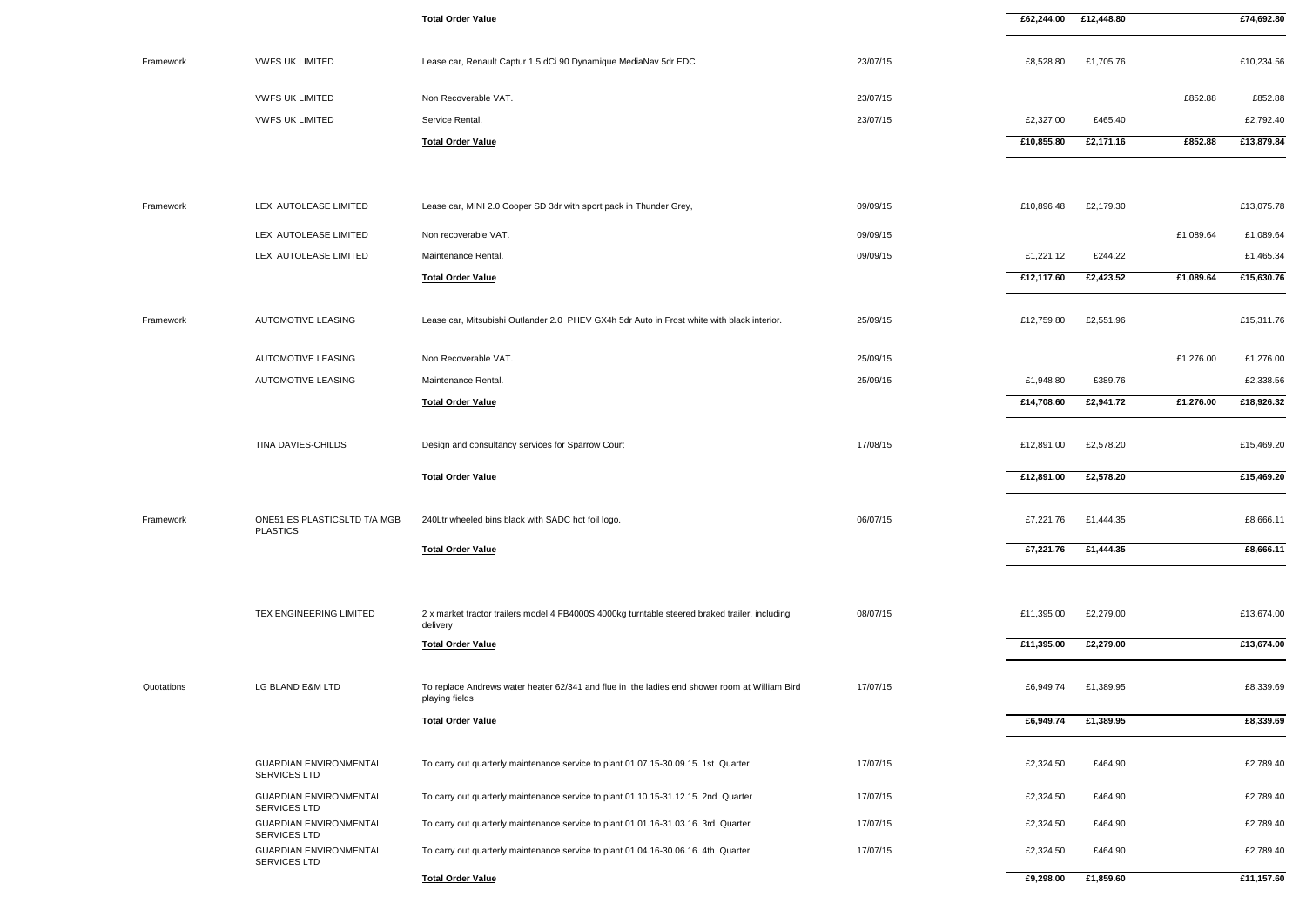| <b>Total Order Value</b>                                                                                        |          | £62,244.00 | £12,448.80 |           | £74,692.80 |
|-----------------------------------------------------------------------------------------------------------------|----------|------------|------------|-----------|------------|
| Lease car, Renault Captur 1.5 dCi 90 Dynamique MediaNav 5dr EDC                                                 | 23/07/15 | £8,528.80  | £1,705.76  |           | £10,234.56 |
| Non Recoverable VAT.                                                                                            | 23/07/15 |            |            | £852.88   | £852.88    |
| Service Rental.                                                                                                 | 23/07/15 | £2,327.00  | £465.40    |           | £2,792.40  |
| <b>Total Order Value</b>                                                                                        |          | £10,855.80 | £2,171.16  | £852.88   | £13,879.84 |
| Lease car, MINI 2.0 Cooper SD 3dr with sport pack in Thunder Grey,                                              | 09/09/15 | £10,896.48 | £2,179.30  |           | £13,075.78 |
|                                                                                                                 |          |            |            |           |            |
| Non recoverable VAT.                                                                                            | 09/09/15 |            |            | £1,089.64 | £1,089.64  |
| Maintenance Rental.                                                                                             | 09/09/15 | £1,221.12  | £244.22    |           | £1,465.34  |
| <b>Total Order Value</b>                                                                                        |          | £12,117.60 | £2,423.52  | £1,089.64 | £15,630.76 |
| Lease car, Mitsubishi Outlander 2.0 PHEV GX4h 5dr Auto in Frost white with black interior.                      | 25/09/15 | £12,759.80 | £2,551.96  |           | £15,311.76 |
| Non Recoverable VAT.                                                                                            | 25/09/15 |            |            | £1,276.00 | £1,276.00  |
| Maintenance Rental.                                                                                             | 25/09/15 | £1,948.80  | £389.76    |           | £2,338.56  |
| <b>Total Order Value</b>                                                                                        |          | £14,708.60 | £2,941.72  | £1,276.00 | £18,926.32 |
| Design and consultancy services for Sparrow Court                                                               | 17/08/15 | £12,891.00 | £2,578.20  |           | £15,469.20 |
| <b>Total Order Value</b>                                                                                        |          | £12,891.00 | £2,578.20  |           | £15,469.20 |
| 240Ltr wheeled bins black with SADC hot foil logo.                                                              | 06/07/15 | £7,221.76  | £1,444.35  |           | £8,666.11  |
| <b>Total Order Value</b>                                                                                        |          | £7,221.76  | £1,444.35  |           | £8,666.11  |
|                                                                                                                 |          |            |            |           |            |
| 2 x market tractor trailers model 4 FB4000S 4000kg turntable steered braked trailer, including<br>delivery      | 08/07/15 | £11,395.00 | £2,279.00  |           | £13,674.00 |
| <b>Total Order Value</b>                                                                                        |          | £11,395.00 | £2,279.00  |           | £13,674.00 |
| To replace Andrews water heater 62/341 and flue in the ladies end shower room at William Bird<br>playing fields | 17/07/15 | £6,949.74  | £1,389.95  |           | £8,339.69  |
| <b>Total Order Value</b>                                                                                        |          | £6,949.74  | £1,389.95  |           | £8,339.69  |
| To carry out quarterly maintenance service to plant 01.07.15-30.09.15. 1st Quarter                              | 17/07/15 | £2,324.50  | £464.90    |           | £2,789.40  |
| To carry out quarterly maintenance service to plant 01.10.15-31.12.15. 2nd Quarter                              | 17/07/15 | £2,324.50  | £464.90    |           | £2,789.40  |
| To carry out quarterly maintenance service to plant 01.01.16-31.03.16. 3rd Quarter                              | 17/07/15 | £2,324.50  | £464.90    |           | £2,789.40  |
| To carry out quarterly maintenance service to plant 01.04.16-30.06.16. 4th Quarter                              | 17/07/15 | £2,324.50  | £464.90    |           | £2,789.40  |
| Total Order Value                                                                                               |          | £9,298.00  | £1,859.60  |           | £11,157.60 |

| Framework  | <b>VWFS UK LIMITED</b>                          | Lease car, Renault Captur 1.5 dCi 90 Dynamique MediaNav 5dr EDC                                                 | 23/07/15 | £8,528.80  | £1,705.76 |           | £10,234.56 |
|------------|-------------------------------------------------|-----------------------------------------------------------------------------------------------------------------|----------|------------|-----------|-----------|------------|
|            | <b>VWFS UK LIMITED</b>                          | Non Recoverable VAT.                                                                                            | 23/07/15 |            |           | £852.88   | £852.88    |
|            | <b>VWFS UK LIMITED</b>                          | Service Rental.                                                                                                 | 23/07/15 | £2,327.00  | £465.40   |           | £2,792.40  |
|            |                                                 | <b>Total Order Value</b>                                                                                        |          | £10,855.80 | £2,171.16 | £852.88   | £13,879.84 |
|            |                                                 |                                                                                                                 |          |            |           |           |            |
| Framework  | LEX AUTOLEASE LIMITED                           | Lease car, MINI 2.0 Cooper SD 3dr with sport pack in Thunder Grey,                                              | 09/09/15 | £10,896.48 | £2,179.30 |           | £13,075.78 |
|            | LEX AUTOLEASE LIMITED                           | Non recoverable VAT.                                                                                            | 09/09/15 |            |           | £1,089.64 | £1,089.64  |
|            | LEX AUTOLEASE LIMITED                           | Maintenance Rental.                                                                                             | 09/09/15 | £1,221.12  | £244.22   |           | £1,465.34  |
|            |                                                 | <b>Total Order Value</b>                                                                                        |          | £12,117.60 | £2,423.52 | £1,089.64 | £15,630.76 |
| Framework  | AUTOMOTIVE LEASING                              | Lease car. Mitsubishi Outlander 2.0 PHEV GX4h 5dr Auto in Frost white with black interior.                      | 25/09/15 | £12,759.80 | £2,551.96 |           | £15,311.76 |
|            | <b>AUTOMOTIVE LEASING</b>                       | Non Recoverable VAT.                                                                                            | 25/09/15 |            |           | £1,276.00 | £1,276.00  |
|            | <b>AUTOMOTIVE LEASING</b>                       | Maintenance Rental.                                                                                             | 25/09/15 | £1,948.80  | £389.76   |           | £2,338.56  |
|            |                                                 | <b>Total Order Value</b>                                                                                        |          | £14,708.60 | £2,941.72 | £1,276.00 | £18,926.32 |
|            | TINA DAVIES-CHILDS                              | Design and consultancy services for Sparrow Court                                                               | 17/08/15 | £12,891.00 | £2,578.20 |           | £15,469.20 |
|            |                                                 | <b>Total Order Value</b>                                                                                        |          | £12,891.00 | £2,578.20 |           | £15,469.20 |
| Framework  | ONE51 ES PLASTICSLTD T/A MGB<br><b>PLASTICS</b> | 240Ltr wheeled bins black with SADC hot foil logo.                                                              | 06/07/15 | £7,221.76  | £1,444.35 |           | £8,666.11  |
|            |                                                 | <b>Total Order Value</b>                                                                                        |          | £7,221.76  | £1,444.35 |           | £8,666.11  |
|            |                                                 |                                                                                                                 |          |            |           |           |            |
|            | TEX ENGINEERING LIMITED                         | 2 x market tractor trailers model 4 FB4000S 4000kg turntable steered braked trailer, including<br>delivery      | 08/07/15 | £11,395.00 | £2,279.00 |           | £13,674.00 |
|            |                                                 | <b>Total Order Value</b>                                                                                        |          | £11,395.00 | £2,279.00 |           | £13,674.00 |
| Quotations | LG BLAND E&M LTD                                | To replace Andrews water heater 62/341 and flue in the ladies end shower room at William Bird<br>playing fields | 17/07/15 | £6,949.74  | £1,389.95 |           | £8,339.69  |
|            |                                                 | <b>Total Order Value</b>                                                                                        |          | £6,949.74  | £1,389.95 |           | £8,339.69  |
|            | <b>GUARDIAN ENVIRONMENTAL</b><br>SERVICES LTD   | To carry out quarterly maintenance service to plant 01.07.15-30.09.15. 1st Quarter                              | 17/07/15 | £2,324.50  | £464.90   |           | £2,789.40  |
|            | <b>GUARDIAN ENVIRONMENTAL</b><br>SERVICES LTD   | To carry out quarterly maintenance service to plant 01.10.15-31.12.15. 2nd Quarter                              | 17/07/15 | £2,324.50  | £464.90   |           | £2,789.40  |
|            | <b>GUARDIAN ENVIRONMENTAL</b><br>SERVICES LTD   | To carry out quarterly maintenance service to plant 01.01.16-31.03.16. 3rd Quarter                              | 17/07/15 | £2,324.50  | £464.90   |           | £2,789.40  |
|            | <b>GUARDIAN ENVIRONMENTAL</b><br>SERVICES LTD   | To carry out quarterly maintenance service to plant 01.04.16-30.06.16. 4th Quarter                              | 17/07/15 | £2,324.50  | £464.90   |           | £2,789.40  |
|            |                                                 | <b>Total Order Value</b>                                                                                        |          | £9,298.00  | £1,859.60 |           | £11,157.60 |